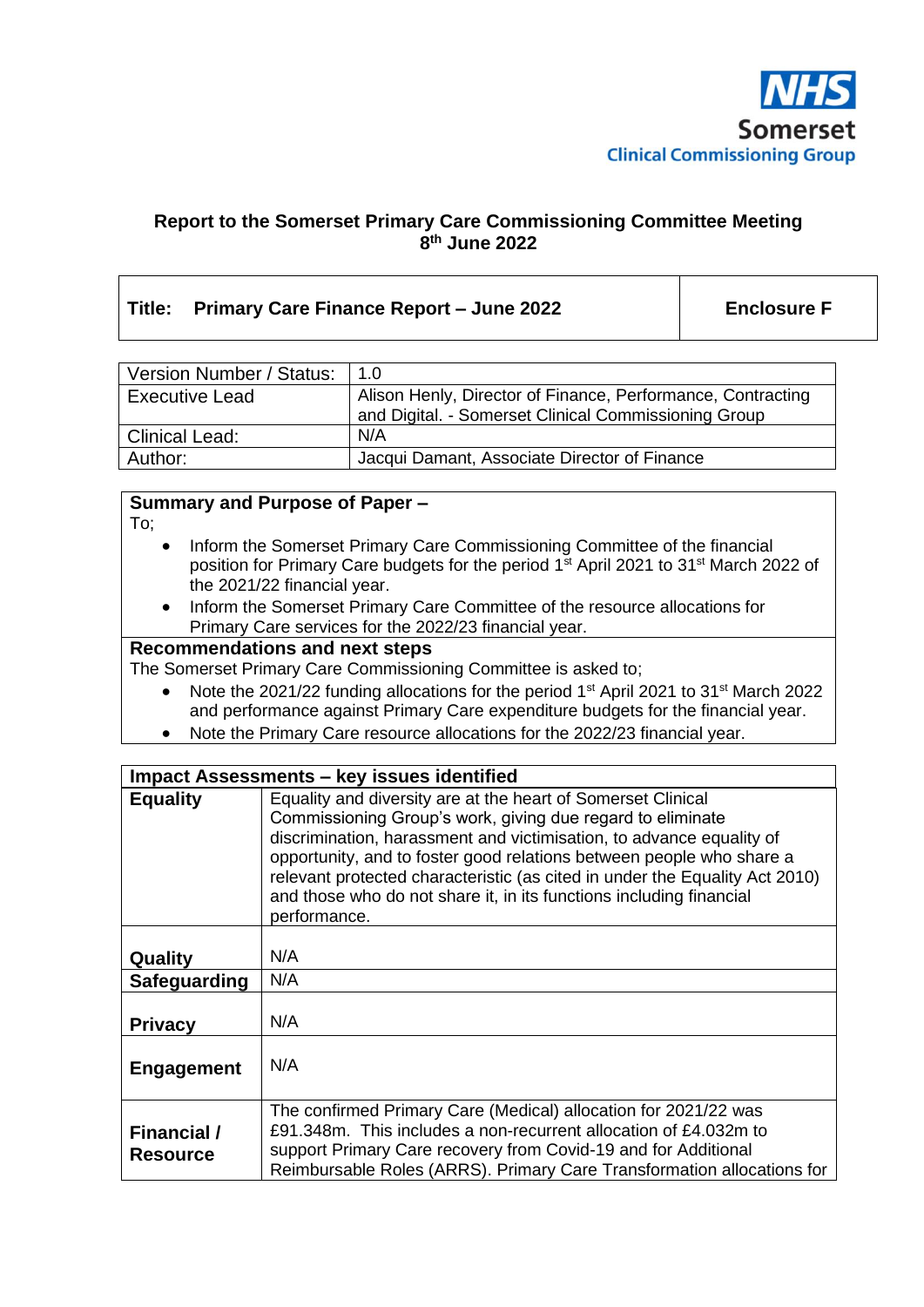

## **Report to the Somerset Primary Care Commissioning Committee Meeting 8 th June 2022**

## **Title: Primary Care Finance Report – June 2022 Enclosure F**

| Version Number / Status: | 1.0                                                                                                                 |
|--------------------------|---------------------------------------------------------------------------------------------------------------------|
| <b>Executive Lead</b>    | Alison Henly, Director of Finance, Performance, Contracting<br>and Digital. - Somerset Clinical Commissioning Group |
| <b>Clinical Lead:</b>    | N/A                                                                                                                 |
| Author:                  | Jacqui Damant, Associate Director of Finance                                                                        |

## **Summary and Purpose of Paper –**

To;

- Inform the Somerset Primary Care Commissioning Committee of the financial position for Primary Care budgets for the period 1<sup>st</sup> April 2021 to 31<sup>st</sup> March 2022 of the 2021/22 financial year.
- Inform the Somerset Primary Care Committee of the resource allocations for Primary Care services for the 2022/23 financial year.

### **Recommendations and next steps**

The Somerset Primary Care Commissioning Committee is asked to;

- Note the 2021/22 funding allocations for the period 1<sup>st</sup> April 2021 to 31<sup>st</sup> March 2022 and performance against Primary Care expenditure budgets for the financial year.
- Note the Primary Care resource allocations for the 2022/23 financial year.

| <b>Impact Assessments - key issues identified</b> |                                                                                                                                                                                                                                                                                                                                                                                                                                                  |  |  |
|---------------------------------------------------|--------------------------------------------------------------------------------------------------------------------------------------------------------------------------------------------------------------------------------------------------------------------------------------------------------------------------------------------------------------------------------------------------------------------------------------------------|--|--|
| <b>Equality</b>                                   | Equality and diversity are at the heart of Somerset Clinical<br>Commissioning Group's work, giving due regard to eliminate<br>discrimination, harassment and victimisation, to advance equality of<br>opportunity, and to foster good relations between people who share a<br>relevant protected characteristic (as cited in under the Equality Act 2010)<br>and those who do not share it, in its functions including financial<br>performance. |  |  |
| Quality                                           | N/A                                                                                                                                                                                                                                                                                                                                                                                                                                              |  |  |
| Safeguarding                                      | N/A                                                                                                                                                                                                                                                                                                                                                                                                                                              |  |  |
| <b>Privacy</b>                                    | N/A                                                                                                                                                                                                                                                                                                                                                                                                                                              |  |  |
| <b>Engagement</b>                                 | N/A                                                                                                                                                                                                                                                                                                                                                                                                                                              |  |  |
| Financial /<br><b>Resource</b>                    | The confirmed Primary Care (Medical) allocation for 2021/22 was<br>£91.348m. This includes a non-recurrent allocation of £4.032m to<br>support Primary Care recovery from Covid-19 and for Additional<br>Reimbursable Roles (ARRS). Primary Care Transformation allocations for                                                                                                                                                                  |  |  |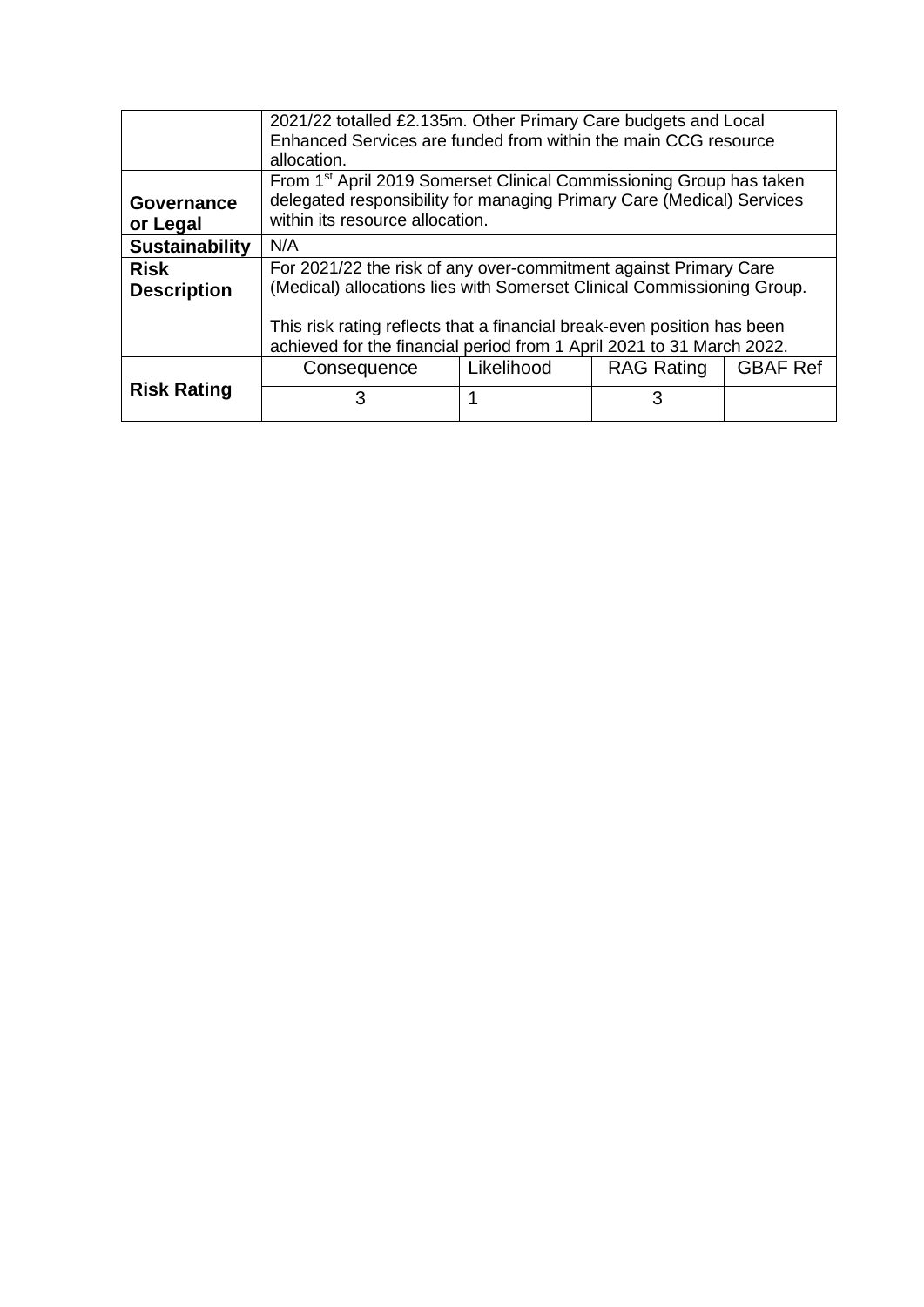|                       | 2021/22 totalled £2.135m. Other Primary Care budgets and Local<br>Enhanced Services are funded from within the main CCG resource<br>allocation.          |            |                   |                 |
|-----------------------|----------------------------------------------------------------------------------------------------------------------------------------------------------|------------|-------------------|-----------------|
| Governance            | From 1 <sup>st</sup> April 2019 Somerset Clinical Commissioning Group has taken<br>delegated responsibility for managing Primary Care (Medical) Services |            |                   |                 |
| or Legal              | within its resource allocation.                                                                                                                          |            |                   |                 |
| <b>Sustainability</b> | N/A                                                                                                                                                      |            |                   |                 |
| <b>Risk</b>           | For 2021/22 the risk of any over-commitment against Primary Care                                                                                         |            |                   |                 |
| <b>Description</b>    | (Medical) allocations lies with Somerset Clinical Commissioning Group.                                                                                   |            |                   |                 |
|                       | This risk rating reflects that a financial break-even position has been<br>achieved for the financial period from 1 April 2021 to 31 March 2022.         |            |                   |                 |
|                       | Consequence                                                                                                                                              | Likelihood | <b>RAG Rating</b> | <b>GBAF Ref</b> |
| <b>Risk Rating</b>    | 3                                                                                                                                                        |            | 3                 |                 |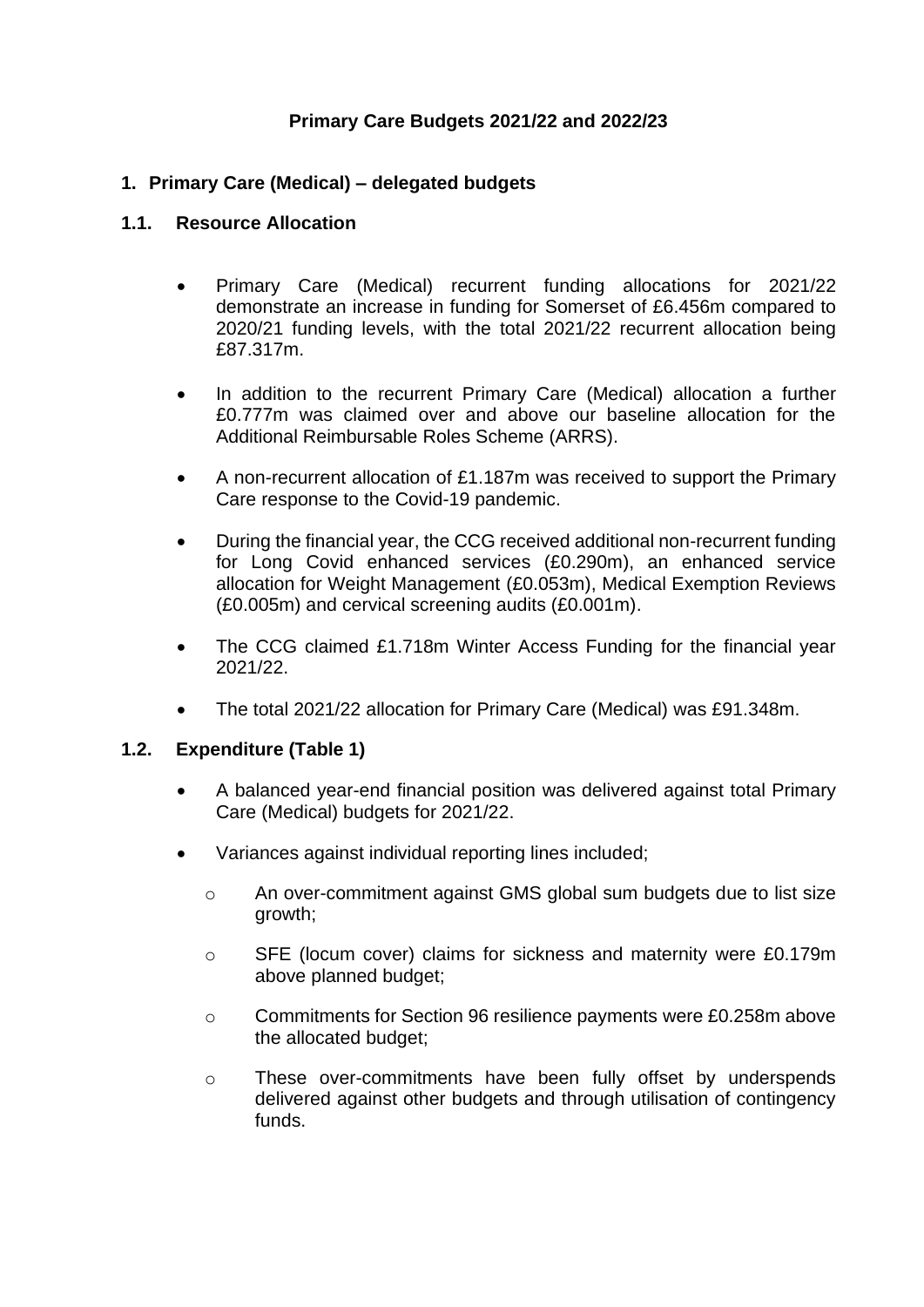## **Primary Care Budgets 2021/22 and 2022/23**

## **1. Primary Care (Medical) – delegated budgets**

### **1.1. Resource Allocation**

- Primary Care (Medical) recurrent funding allocations for 2021/22 demonstrate an increase in funding for Somerset of £6.456m compared to 2020/21 funding levels, with the total 2021/22 recurrent allocation being £87.317m.
- In addition to the recurrent Primary Care (Medical) allocation a further £0.777m was claimed over and above our baseline allocation for the Additional Reimbursable Roles Scheme (ARRS).
- A non-recurrent allocation of £1.187m was received to support the Primary Care response to the Covid-19 pandemic.
- During the financial year, the CCG received additional non-recurrent funding for Long Covid enhanced services (£0.290m), an enhanced service allocation for Weight Management (£0.053m), Medical Exemption Reviews (£0.005m) and cervical screening audits (£0.001m).
- The CCG claimed £1.718m Winter Access Funding for the financial year 2021/22.
- The total 2021/22 allocation for Primary Care (Medical) was £91.348m.

## **1.2. Expenditure (Table 1)**

- A balanced year-end financial position was delivered against total Primary Care (Medical) budgets for 2021/22.
- Variances against individual reporting lines included;
	- o An over-commitment against GMS global sum budgets due to list size growth;
	- o SFE (locum cover) claims for sickness and maternity were £0.179m above planned budget;
	- o Commitments for Section 96 resilience payments were £0.258m above the allocated budget;
	- o These over-commitments have been fully offset by underspends delivered against other budgets and through utilisation of contingency funds.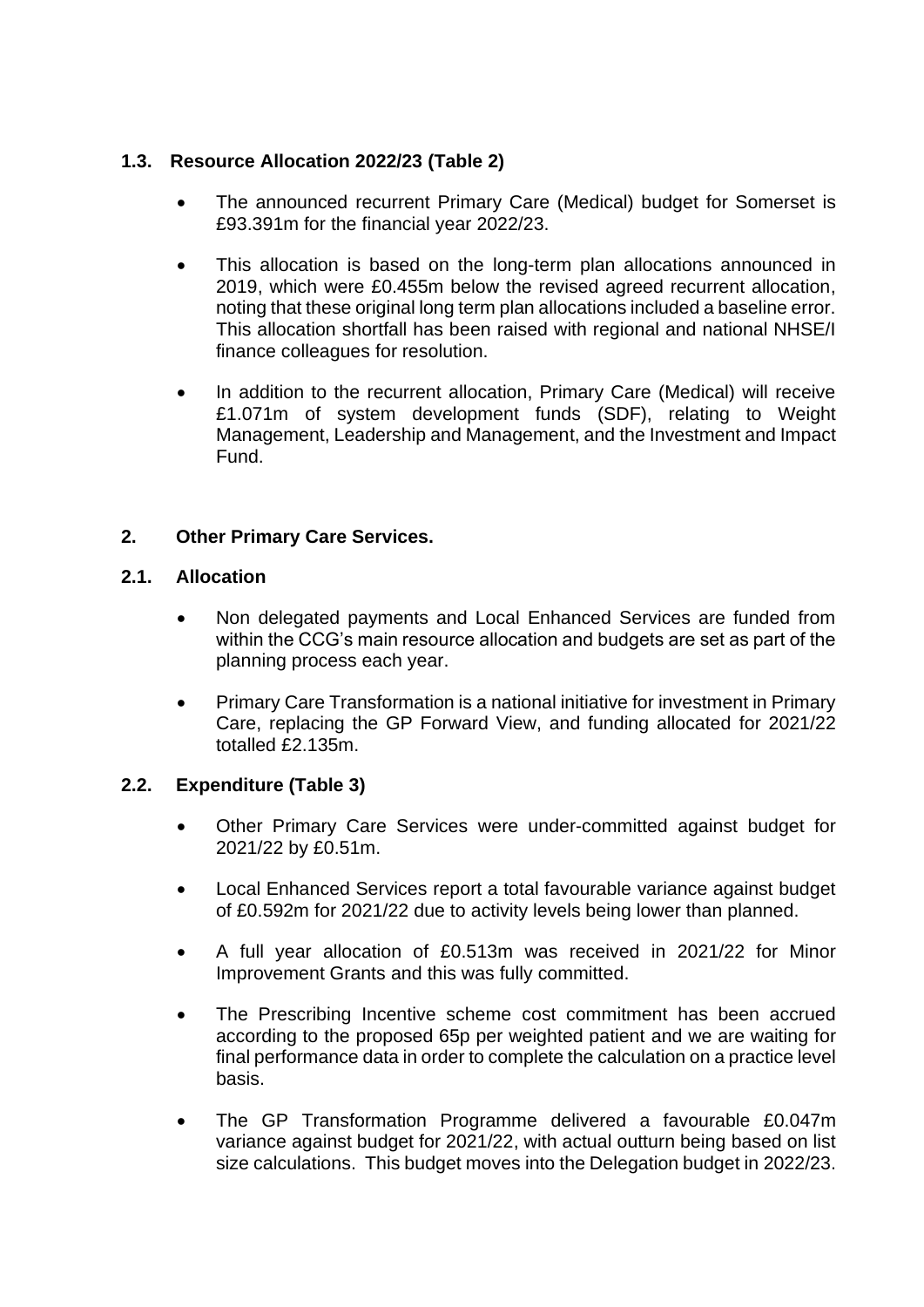# **1.3. Resource Allocation 2022/23 (Table 2)**

- The announced recurrent Primary Care (Medical) budget for Somerset is £93.391m for the financial year 2022/23.
- This allocation is based on the long-term plan allocations announced in 2019, which were £0.455m below the revised agreed recurrent allocation, noting that these original long term plan allocations included a baseline error. This allocation shortfall has been raised with regional and national NHSE/I finance colleagues for resolution.
- In addition to the recurrent allocation, Primary Care (Medical) will receive £1.071m of system development funds (SDF), relating to Weight Management, Leadership and Management, and the Investment and Impact Fund.

# **2. Other Primary Care Services.**

## **2.1. Allocation**

- Non delegated payments and Local Enhanced Services are funded from within the CCG's main resource allocation and budgets are set as part of the planning process each year.
- Primary Care Transformation is a national initiative for investment in Primary Care, replacing the GP Forward View, and funding allocated for 2021/22 totalled £2.135m.

## **2.2. Expenditure (Table 3)**

- Other Primary Care Services were under-committed against budget for 2021/22 by £0.51m.
- Local Enhanced Services report a total favourable variance against budget of £0.592m for 2021/22 due to activity levels being lower than planned.
- A full year allocation of £0.513m was received in 2021/22 for Minor Improvement Grants and this was fully committed.
- The Prescribing Incentive scheme cost commitment has been accrued according to the proposed 65p per weighted patient and we are waiting for final performance data in order to complete the calculation on a practice level basis.
- The GP Transformation Programme delivered a favourable £0.047m variance against budget for 2021/22, with actual outturn being based on list size calculations. This budget moves into the Delegation budget in 2022/23.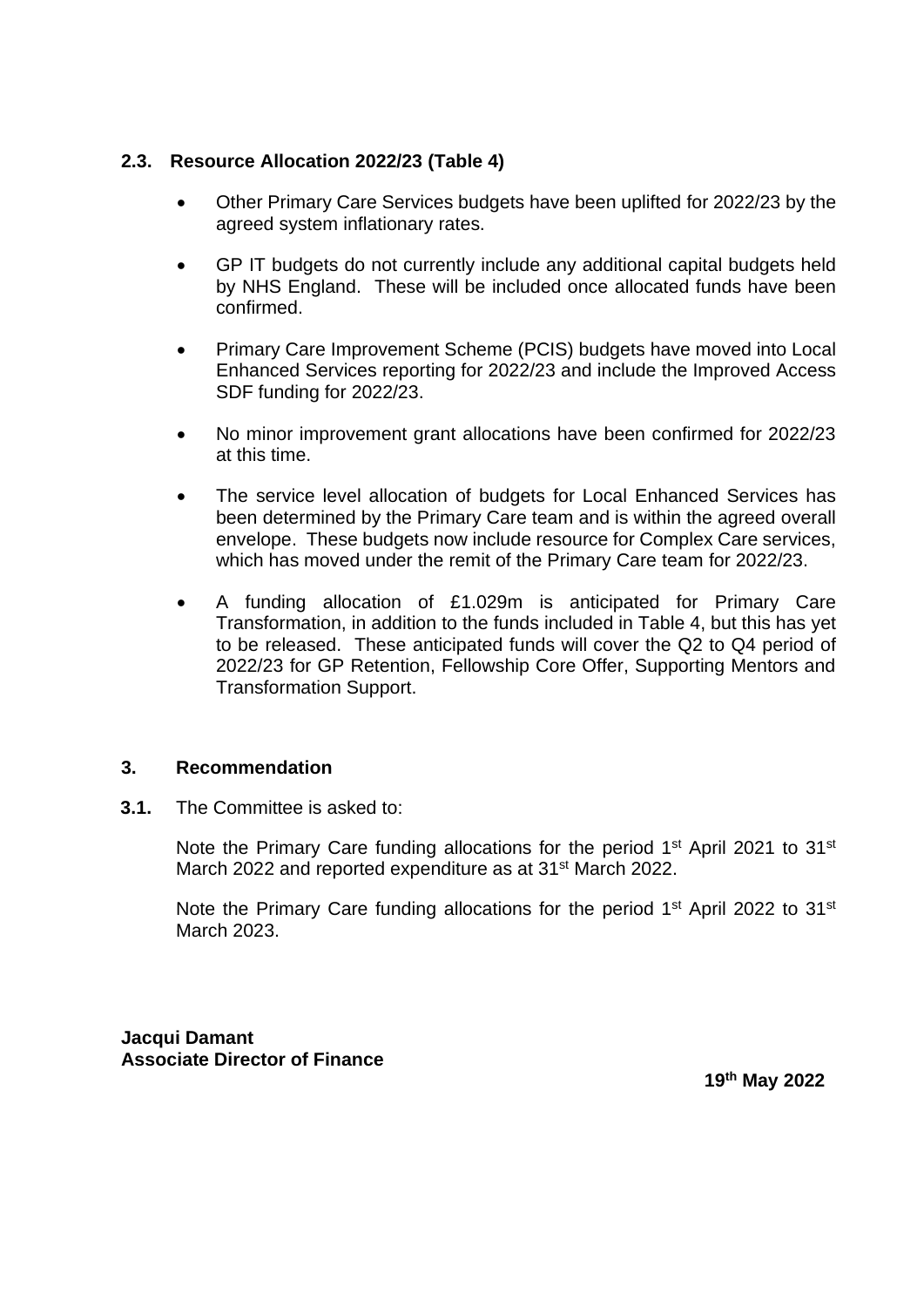## **2.3. Resource Allocation 2022/23 (Table 4)**

- Other Primary Care Services budgets have been uplifted for 2022/23 by the agreed system inflationary rates.
- GP IT budgets do not currently include any additional capital budgets held by NHS England. These will be included once allocated funds have been confirmed.
- Primary Care Improvement Scheme (PCIS) budgets have moved into Local Enhanced Services reporting for 2022/23 and include the Improved Access SDF funding for 2022/23.
- No minor improvement grant allocations have been confirmed for 2022/23 at this time.
- The service level allocation of budgets for Local Enhanced Services has been determined by the Primary Care team and is within the agreed overall envelope. These budgets now include resource for Complex Care services, which has moved under the remit of the Primary Care team for 2022/23.
- A funding allocation of £1.029m is anticipated for Primary Care Transformation, in addition to the funds included in Table 4, but this has yet to be released. These anticipated funds will cover the Q2 to Q4 period of 2022/23 for GP Retention, Fellowship Core Offer, Supporting Mentors and Transformation Support.

## **3. Recommendation**

**3.1.** The Committee is asked to:

Note the Primary Care funding allocations for the period 1<sup>st</sup> April 2021 to 31<sup>st</sup> March 2022 and reported expenditure as at 31<sup>st</sup> March 2022.

Note the Primary Care funding allocations for the period 1<sup>st</sup> April 2022 to 31<sup>st</sup> March 2023.

**Jacqui Damant Associate Director of Finance**

**19 th May 2022**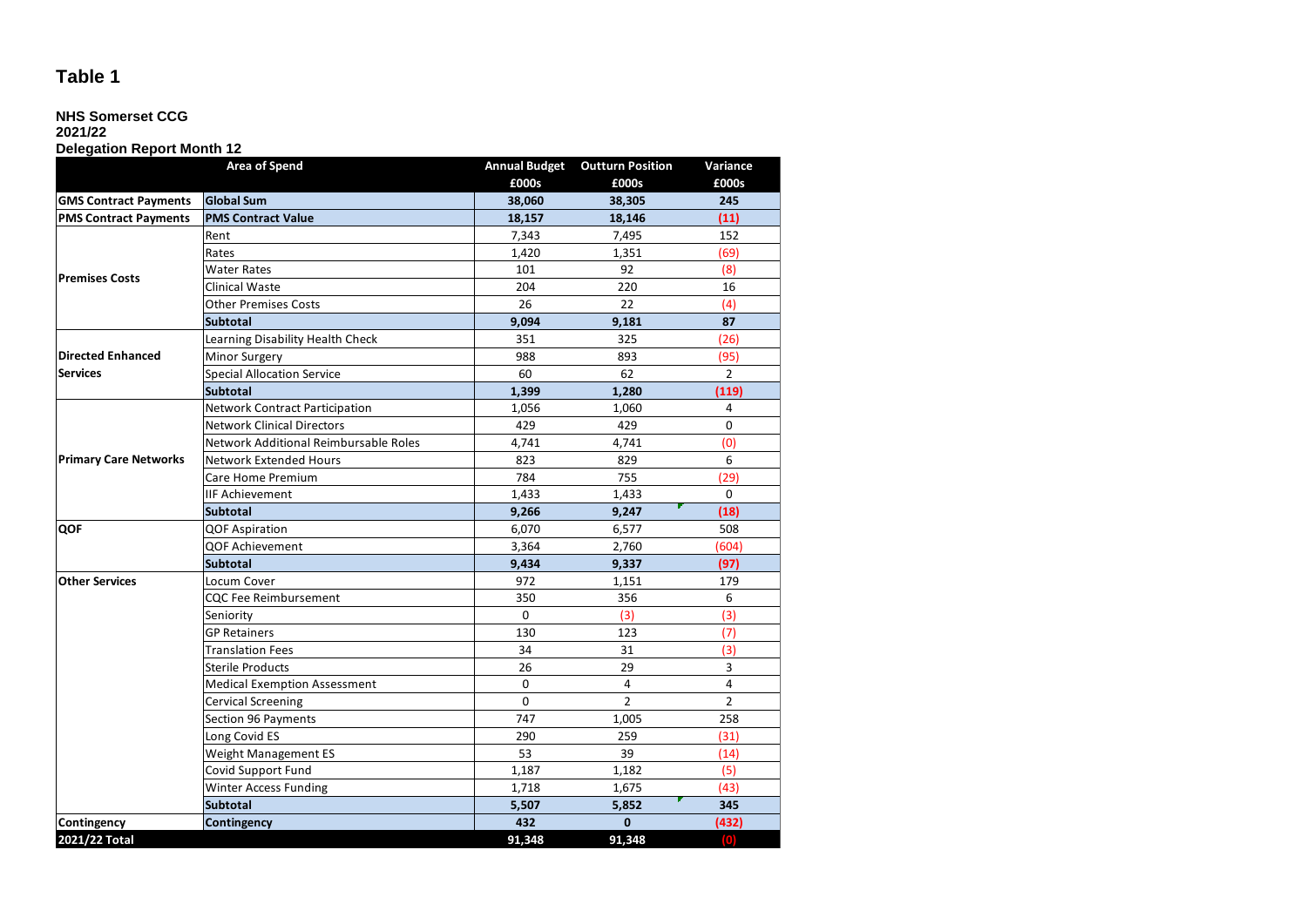## **NHS Somerset CCG**

# **2021/22**

## **Delegation Report Month 12**

|                              | <b>Area of Spend</b>                  | <b>Annual Budget</b> | <b>Outturn Position</b> | Variance           |
|------------------------------|---------------------------------------|----------------------|-------------------------|--------------------|
|                              |                                       | £000s                | £000s                   | £000s              |
| <b>GMS Contract Payments</b> | <b>Global Sum</b>                     | 38,060               | 38,305                  | 245                |
| <b>PMS Contract Payments</b> | <b>PMS Contract Value</b>             | 18,157               | 18,146                  | (11)               |
|                              | Rent                                  | 7,343                | 7,495                   | 152                |
|                              | Rates                                 | 1,420                | 1.351                   | (69)               |
|                              | <b>Water Rates</b>                    | 101                  | 92                      | (8)                |
| <b>Premises Costs</b>        | Clinical Waste                        | 204                  | 220                     | 16                 |
|                              | <b>Other Premises Costs</b>           | 26                   | 22                      | (4)                |
|                              | <b>Subtotal</b>                       | 9,094                | 9,181                   | 87                 |
|                              | Learning Disability Health Check      | 351                  | 325                     | (26)               |
| <b>Directed Enhanced</b>     | Minor Surgery                         | 988                  | 893                     | (95)               |
| <b>Services</b>              | <b>Special Allocation Service</b>     | 60                   | 62                      | $\overline{2}$     |
|                              | <b>Subtotal</b>                       | 1,399                | 1,280                   | (119)              |
|                              | <b>Network Contract Participation</b> | 1,056                | 1,060                   | 4                  |
|                              | <b>Network Clinical Directors</b>     | 429                  | 429                     | 0                  |
|                              | Network Additional Reimbursable Roles | 4,741                | 4,741                   | (0)                |
| <b>Primary Care Networks</b> | <b>Network Extended Hours</b>         | 823                  | 829                     | 6                  |
|                              | Care Home Premium                     | 784                  | 755                     | (29)               |
|                              | <b>IIF Achievement</b>                | 1,433                | 1,433                   | 0                  |
|                              | <b>Subtotal</b>                       | 9,266                | 9,247                   | (18)               |
| QOF                          | <b>QOF Aspiration</b>                 | 6,070                | 6,577                   | 508                |
|                              | QOF Achievement                       | 3,364                | 2,760                   | (604)              |
|                              | <b>Subtotal</b>                       | 9,434                | 9,337                   | (97)               |
| <b>Other Services</b>        | Locum Cover                           | 972                  | 1,151                   | 179                |
|                              | <b>CQC Fee Reimbursement</b>          | 350                  | 356                     | 6                  |
|                              | Seniority                             | $\Omega$             | (3)                     | (3)                |
|                              | <b>GP Retainers</b>                   | 130                  | 123                     | (7)                |
|                              | <b>Translation Fees</b>               | 34                   | 31                      | (3)                |
|                              | <b>Sterile Products</b>               | 26                   | 29                      | 3                  |
|                              | <b>Medical Exemption Assessment</b>   | $\pmb{0}$            | 4                       | 4                  |
|                              | <b>Cervical Screening</b>             | $\Omega$             | $\overline{2}$          | $\overline{2}$     |
|                              | Section 96 Payments                   | 747                  | 1,005                   | 258                |
|                              | Long Covid ES                         | 290                  | 259                     | (31)               |
|                              | Weight Management ES                  | 53                   | 39                      | (14)               |
|                              | Covid Support Fund                    | 1,187                | 1,182                   | (5)                |
|                              | Winter Access Funding                 | 1,718                | 1,675                   | (43)               |
|                              | <b>Subtotal</b>                       | 5,507                | 5,852                   | 345                |
| Contingency                  | Contingency                           | 432                  | $\mathbf{0}$            | (432)              |
| 2021/22 Total                |                                       | 91,348               | 91,348                  | $\left( 0 \right)$ |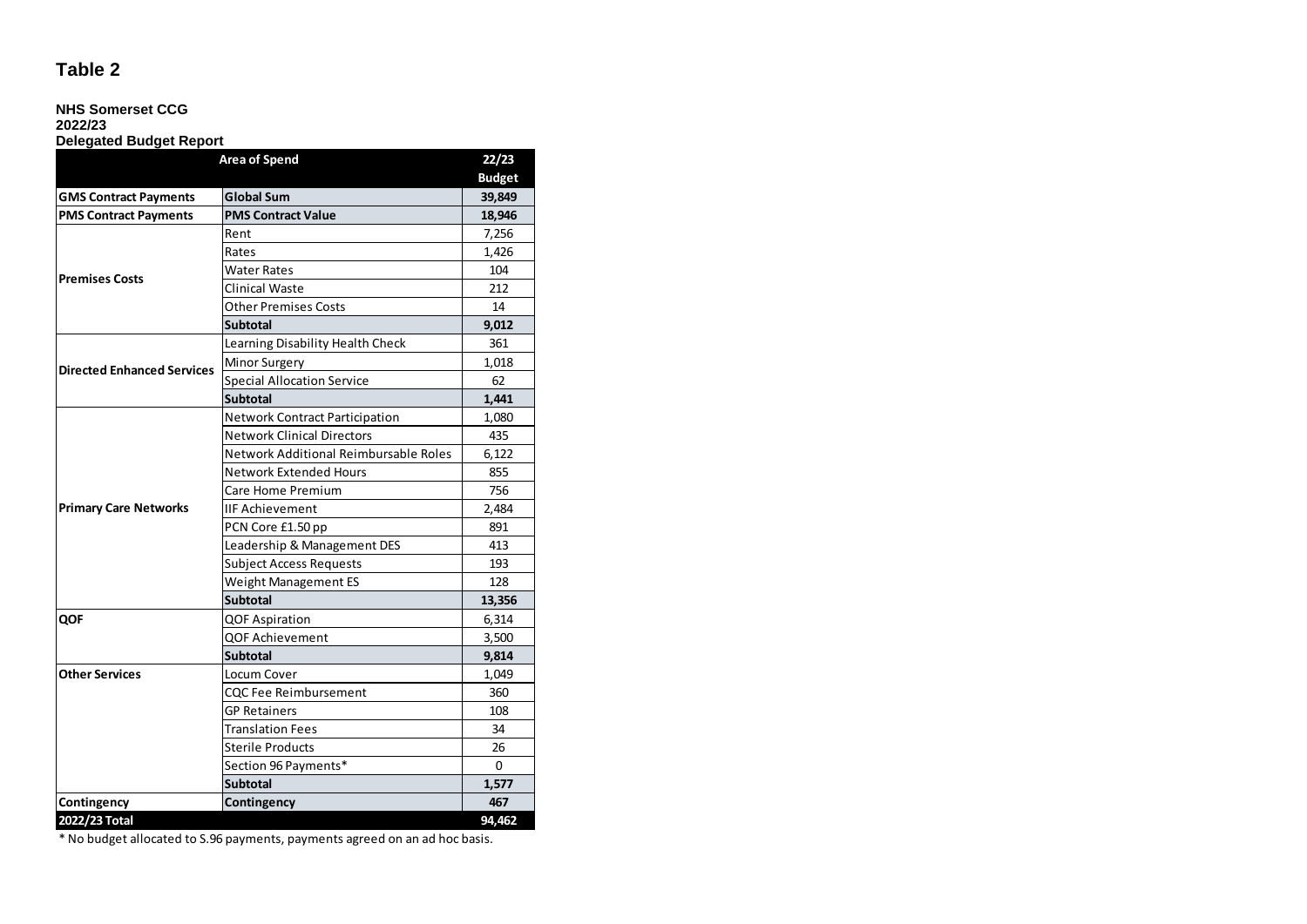### **NHS Somerset CCG**

**2022/23**

#### **Delegated Budget Report**

| <b>Area of Spend</b>              |                                       |               |
|-----------------------------------|---------------------------------------|---------------|
|                                   |                                       | <b>Budget</b> |
| <b>GMS Contract Payments</b>      | <b>Global Sum</b>                     | 39,849        |
| <b>PMS Contract Payments</b>      | <b>PMS Contract Value</b>             | 18,946        |
|                                   | Rent                                  | 7,256         |
|                                   | Rates                                 | 1.426         |
|                                   | <b>Water Rates</b>                    | 104           |
| <b>Premises Costs</b>             | Clinical Waste                        | 212           |
|                                   | <b>Other Premises Costs</b>           | 14            |
|                                   | <b>Subtotal</b>                       | 9,012         |
|                                   | Learning Disability Health Check      | 361           |
|                                   | <b>Minor Surgery</b>                  | 1,018         |
| <b>Directed Enhanced Services</b> | <b>Special Allocation Service</b>     | 62            |
|                                   | <b>Subtotal</b>                       | 1,441         |
|                                   | <b>Network Contract Participation</b> | 1,080         |
|                                   | <b>Network Clinical Directors</b>     | 435           |
|                                   | Network Additional Reimbursable Roles | 6,122         |
|                                   | Network Extended Hours                | 855           |
|                                   | Care Home Premium                     | 756           |
| <b>Primary Care Networks</b>      | <b>IIF Achievement</b>                | 2,484         |
|                                   | PCN Core £1.50 pp                     | 891           |
|                                   | Leadership & Management DES           | 413           |
|                                   | <b>Subject Access Requests</b>        | 193           |
|                                   | Weight Management ES                  | 128           |
|                                   | <b>Subtotal</b>                       | 13,356        |
| QOF                               | <b>QOF Aspiration</b>                 | 6,314         |
|                                   | <b>QOF Achievement</b>                | 3,500         |
|                                   | <b>Subtotal</b>                       | 9,814         |
| <b>Other Services</b>             | Locum Cover                           | 1,049         |
|                                   | <b>CQC Fee Reimbursement</b>          | 360           |
|                                   | <b>GP Retainers</b>                   | 108           |
|                                   | <b>Translation Fees</b>               | 34            |
|                                   | <b>Sterile Products</b>               | 26            |
|                                   | Section 96 Payments*                  | 0             |
|                                   | <b>Subtotal</b>                       | 1,577         |
| Contingency                       | Contingency                           | 467           |
| 2022/23 Total                     |                                       | 94,462        |

\* No budget allocated to S.96 payments, payments agreed on an ad hoc basis.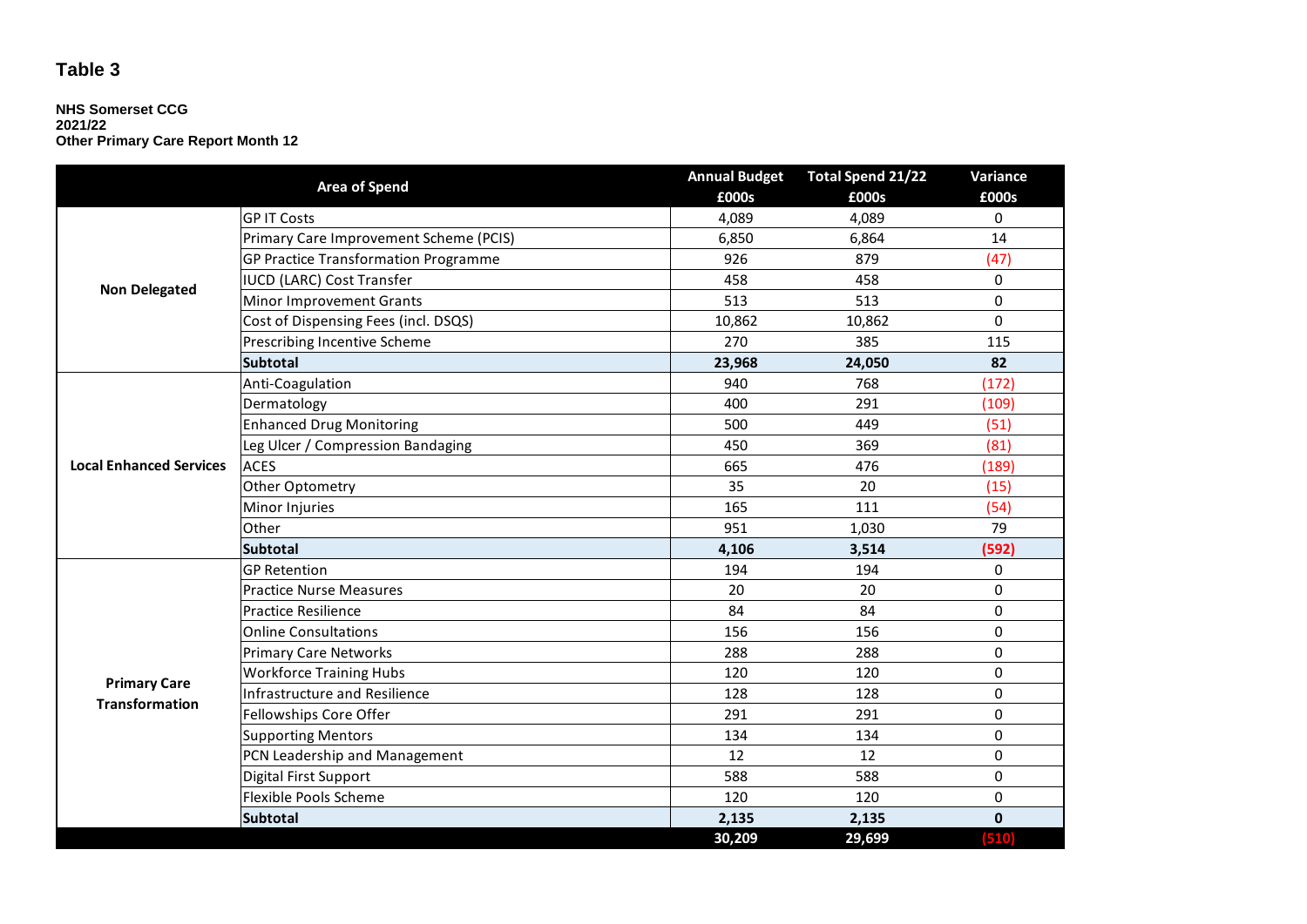#### **NHS Somerset CCG 2021/22 Other Primary Care Report Month 12**

| <b>Area of Spend</b>           |                                             | <b>Annual Budget</b> | Total Spend 21/22 | Variance     |  |
|--------------------------------|---------------------------------------------|----------------------|-------------------|--------------|--|
|                                |                                             | £000s                | £000s             | £000s        |  |
| <b>Non Delegated</b>           | <b>GP IT Costs</b>                          | 4,089                | 4,089             | 0            |  |
|                                | Primary Care Improvement Scheme (PCIS)      | 6,850                | 6,864             | 14           |  |
|                                | <b>GP Practice Transformation Programme</b> | 926                  | 879               | (47)         |  |
|                                | <b>IUCD (LARC) Cost Transfer</b>            | 458                  | 458               | 0            |  |
|                                | <b>Minor Improvement Grants</b>             | 513                  | 513               | 0            |  |
|                                | Cost of Dispensing Fees (incl. DSQS)        | 10,862               | 10,862            | $\Omega$     |  |
|                                | Prescribing Incentive Scheme                | 270                  | 385               | 115          |  |
|                                | <b>Subtotal</b>                             | 23,968               | 24,050            | 82           |  |
|                                | Anti-Coagulation                            | 940                  | 768               | (172)        |  |
|                                | Dermatology                                 | 400                  | 291               | (109)        |  |
|                                | <b>Enhanced Drug Monitoring</b>             | 500                  | 449               | (51)         |  |
|                                | Leg Ulcer / Compression Bandaging           | 450                  | 369               | (81)         |  |
| <b>Local Enhanced Services</b> | <b>ACES</b>                                 | 665                  | 476               | (189)        |  |
|                                | Other Optometry                             | 35                   | 20                | (15)         |  |
|                                | Minor Injuries                              | 165                  | 111               | (54)         |  |
|                                | Other                                       | 951                  | 1,030             | 79           |  |
|                                | <b>Subtotal</b>                             | 4,106                | 3,514             | (592)        |  |
|                                | <b>GP Retention</b>                         | 194                  | 194               | 0            |  |
|                                | <b>Practice Nurse Measures</b>              | 20                   | 20                | 0            |  |
|                                | <b>Practice Resilience</b>                  | 84                   | 84                | 0            |  |
|                                | <b>Online Consultations</b>                 | 156                  | 156               | 0            |  |
|                                | <b>Primary Care Networks</b>                | 288                  | 288               | 0            |  |
| <b>Primary Care</b>            | <b>Workforce Training Hubs</b>              | 120                  | 120               | 0            |  |
| <b>Transformation</b>          | <b>Infrastructure and Resilience</b>        | 128                  | 128               | $\pmb{0}$    |  |
|                                | Fellowships Core Offer                      | 291                  | 291               | 0            |  |
|                                | <b>Supporting Mentors</b>                   | 134                  | 134               | 0            |  |
|                                | PCN Leadership and Management               | 12                   | 12                | 0            |  |
|                                | <b>Digital First Support</b>                | 588                  | 588               | 0            |  |
|                                | Flexible Pools Scheme                       | 120                  | 120               | $\pmb{0}$    |  |
|                                | <b>Subtotal</b>                             | 2,135                | 2,135             | $\mathbf{0}$ |  |
|                                |                                             | 30,209               | 29,699            | (510)        |  |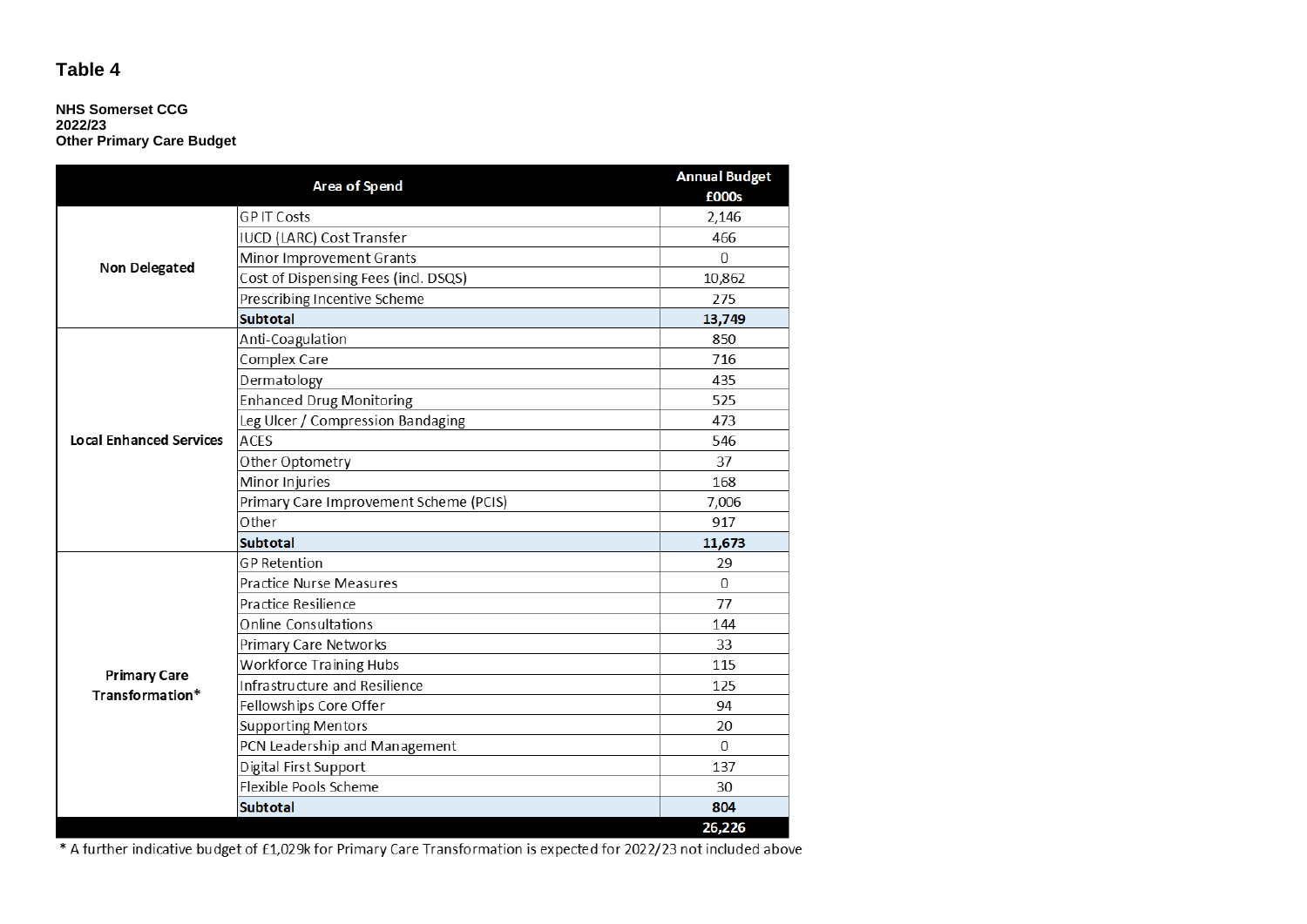#### **NHS Somerset CCG 2022/23 Other Primary Care Budget**

|                                        | Area of Spend                          | <b>Annual Budget</b> |
|----------------------------------------|----------------------------------------|----------------------|
|                                        |                                        | £000s                |
| Non Delegated                          | <b>GPIT Costs</b>                      | 2,146                |
|                                        | IUCD (LARC) Cost Transfer              | 466                  |
|                                        | Minor Improvement Grants               | $\mathbf{0}$         |
|                                        | Cost of Dispensing Fees (incl. DSQS)   | 10,862               |
|                                        | Prescribing Incentive Scheme           | 275                  |
|                                        | <b>Subtotal</b>                        | 13,749               |
|                                        | Anti-Coagulation                       | 850                  |
|                                        | Complex Care                           | 716                  |
|                                        | Dermatology                            | 435                  |
|                                        | <b>Enhanced Drug Monitoring</b>        | 525                  |
|                                        | Leg Ulcer / Compression Bandaging      | 473                  |
| <b>Local Enhanced Services</b>         | <b>ACES</b>                            | 546                  |
|                                        | Other Optometry                        | 37                   |
|                                        | Minor Injuries                         | 168                  |
|                                        | Primary Care Improvement Scheme (PCIS) | 7,006                |
|                                        | Other                                  | 917                  |
|                                        | <b>Subtotal</b>                        | 11,673               |
|                                        | <b>GP</b> Retention                    | 29                   |
|                                        | Practice Nurse Measures                | $\overline{0}$       |
|                                        | Practice Resilience                    | 77                   |
|                                        | <b>Online Consultations</b>            | 144                  |
|                                        | Primary Care Networks                  | 33                   |
|                                        | <b>Workforce Training Hubs</b>         | 115                  |
| <b>Primary Care</b><br>Transformation* | Infrastructure and Resilience          | 125                  |
|                                        | Fellowships Core Offer                 | 94                   |
|                                        | <b>Supporting Mentors</b>              | 20                   |
|                                        | PCN Leadership and Management          | $\Omega$             |
|                                        | Digital First Support                  | 137                  |
|                                        | Flexible Pools Scheme                  | 30                   |
|                                        | <b>Subtotal</b>                        | 804                  |
|                                        |                                        | 26,226               |

\* A further indicative budget of £1,029k for Primary Care Transformation is expected for 2022/23 not included above